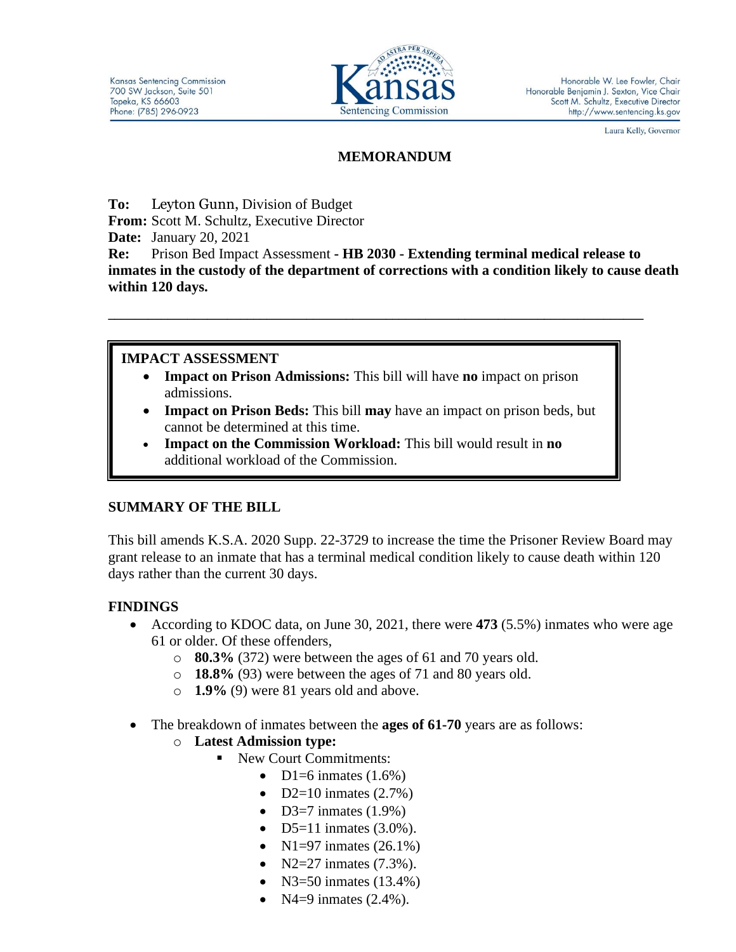

Laura Kelly, Governor

## **MEMORANDUM**

**To:** Leyton Gunn, Division of Budget

**From:** Scott M. Schultz, Executive Director

**Date:** January 20, 2021

**Re:** Prison Bed Impact Assessment **- HB 2030 - Extending terminal medical release to inmates in the custody of the department of corrections with a condition likely to cause death within 120 days.**

# **IMPACT ASSESSMENT**

- **Impact on Prison Admissions:** This bill will have **no** impact on prison admissions.
- **Impact on Prison Beds:** This bill **may** have an impact on prison beds, but cannot be determined at this time.

**\_\_\_\_\_\_\_\_\_\_\_\_\_\_\_\_\_\_\_\_\_\_\_\_\_\_\_\_\_\_\_\_\_\_\_\_\_\_\_\_\_\_\_\_\_\_\_\_\_\_\_\_\_\_\_\_\_\_\_\_\_\_\_\_\_\_\_\_\_\_\_\_\_\_\_\_\_\_\_\_\_**

• **Impact on the Commission Workload:** This bill would result in **no** additional workload of the Commission.

# **SUMMARY OF THE BILL**

This bill amends K.S.A. 2020 Supp. 22-3729 to increase the time the Prisoner Review Board may grant release to an inmate that has a terminal medical condition likely to cause death within 120 days rather than the current 30 days.

# **FINDINGS**

- According to KDOC data, on June 30, 2021, there were **473** (5.5%) inmates who were age 61 or older. Of these offenders,
	- o **80.3%** (372) were between the ages of 61 and 70 years old.
	- o **18.8%** (93) were between the ages of 71 and 80 years old.
	- o **1.9%** (9) were 81 years old and above.
- The breakdown of inmates between the **ages of 61-70** years are as follows:
	- o **Latest Admission type:** 
		- New Court Commitments:
			- D1=6 inmates  $(1.6\%)$
			- D2=10 inmates  $(2.7%)$
			- D3=7 inmates  $(1.9\%)$
			- D5=11 inmates  $(3.0\%)$ .
			- $N1 = 97$  inmates  $(26.1\%)$
			- $N2 = 27$  inmates  $(7.3\%)$ .
			- N3=50 inmates  $(13.4\%)$
			- $N4=9$  inmates  $(2.4\%)$ .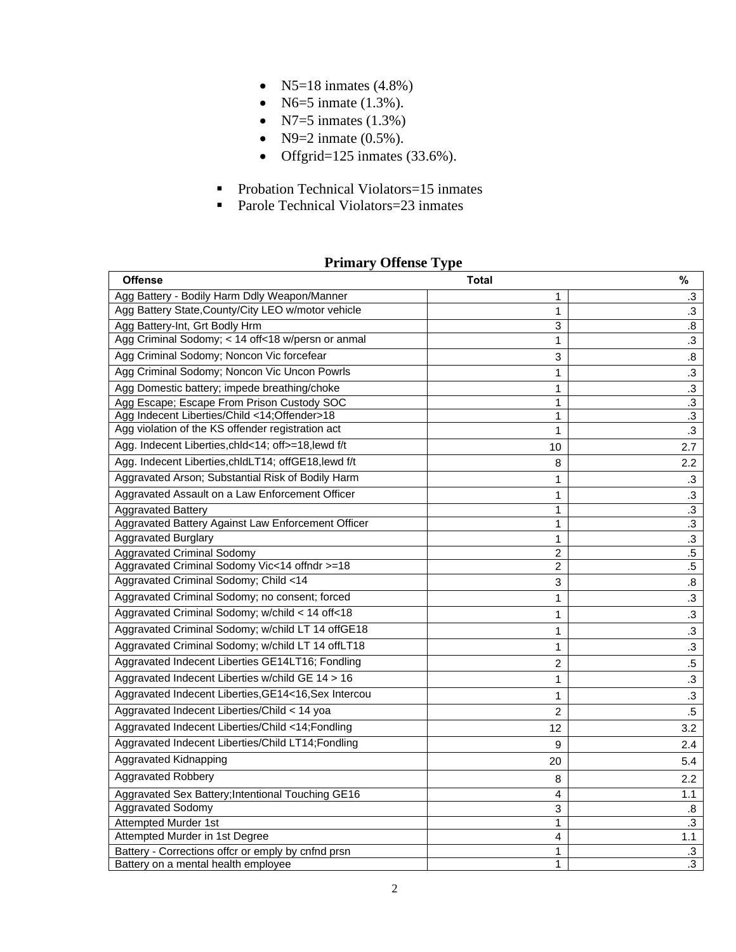- N5=18 inmates  $(4.8\%)$
- N6=5 inmate  $(1.3\%)$ .
- N7=5 inmates  $(1.3\%)$
- N9=2 inmate  $(0.5\%)$ .
- Offgrid=125 inmates  $(33.6\%)$ .
- Probation Technical Violators=15 inmates
- Parole Technical Violators=23 inmates

## **Primary Offense Type**

| <b>Offense</b>                                       | <b>Total</b>   | $\%$              |
|------------------------------------------------------|----------------|-------------------|
| Agg Battery - Bodily Harm Ddly Weapon/Manner         | 1              | .3                |
| Agg Battery State, County/City LEO w/motor vehicle   | $\mathbf{1}$   | .3                |
| Agg Battery-Int, Grt Bodly Hrm                       | 3              | $\boldsymbol{.8}$ |
| Agg Criminal Sodomy; < 14 off<18 w/persn or anmal    | 1              | .3                |
| Agg Criminal Sodomy; Noncon Vic forcefear            | 3              | 8.                |
| Agg Criminal Sodomy; Noncon Vic Uncon Powrls         | 1              | $\cdot$ 3         |
| Agg Domestic battery; impede breathing/choke         | 1              | $\cdot$ 3         |
| Agg Escape; Escape From Prison Custody SOC           | 1              | $\cdot$ 3         |
| Agg Indecent Liberties/Child <14;Offender>18         | 1              | .3                |
| Agg violation of the KS offender registration act    | $\mathbf{1}$   | $\cdot$ 3         |
| Agg. Indecent Liberties, chld<14; off>=18, lewd f/t  | 10             | 2.7               |
| Agg. Indecent Liberties, chldLT14; offGE18, lewd f/t | 8              | 2.2               |
| Aggravated Arson; Substantial Risk of Bodily Harm    | 1              | .3                |
| Aggravated Assault on a Law Enforcement Officer      | 1              | $\cdot$ 3         |
| <b>Aggravated Battery</b>                            | $\mathbf{1}$   | $\cdot$ 3         |
| Aggravated Battery Against Law Enforcement Officer   | 1              | .3                |
| <b>Aggravated Burglary</b>                           | 1              | $\cdot$ 3         |
| <b>Aggravated Criminal Sodomy</b>                    | $\overline{2}$ | $\overline{.5}$   |
| Aggravated Criminal Sodomy Vic<14 offndr >=18        | $\overline{2}$ | $.5\,$            |
| Aggravated Criminal Sodomy; Child <14                | 3              | .8                |
| Aggravated Criminal Sodomy; no consent; forced       | $\mathbf{1}$   | .3                |
| Aggravated Criminal Sodomy; w/child < 14 off<18      | 1              | .3                |
| Aggravated Criminal Sodomy; w/child LT 14 offGE18    | $\mathbf{1}$   | .3                |
| Aggravated Criminal Sodomy; w/child LT 14 offLT18    | 1              | .3                |
| Aggravated Indecent Liberties GE14LT16; Fondling     | $\overline{c}$ | $.5\,$            |
| Aggravated Indecent Liberties w/child GE 14 > 16     | 1              | .3                |
| Aggravated Indecent Liberties, GE14<16, Sex Intercou | $\mathbf{1}$   | $\cdot$ 3         |
| Aggravated Indecent Liberties/Child < 14 yoa         | $\overline{2}$ | $.5\,$            |
| Aggravated Indecent Liberties/Child <14;Fondling     | 12             | 3.2               |
| Aggravated Indecent Liberties/Child LT14;Fondling    | 9              | 2.4               |
| Aggravated Kidnapping                                | 20             | 5.4               |
| <b>Aggravated Robbery</b>                            | 8              | $2.2\phantom{0}$  |
| Aggravated Sex Battery; Intentional Touching GE16    | 4              | 1.1               |
| Aggravated Sodomy                                    | 3              | .8                |
| <b>Attempted Murder 1st</b>                          | $\mathbf{1}$   | $\cdot$ 3         |
| Attempted Murder in 1st Degree                       | 4              | 1.1               |
| Battery - Corrections offcr or emply by cnfnd prsn   | $\mathbf{1}$   | $\cdot$ 3         |
| Battery on a mental health employee                  | $\mathbf{1}$   | $\overline{3}$    |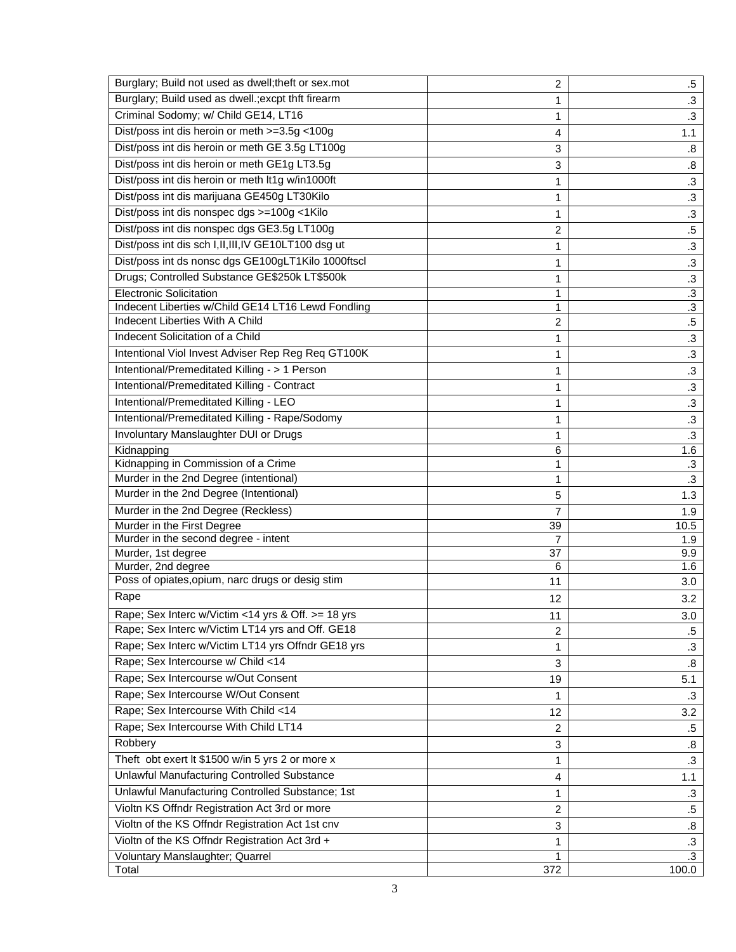| Burglary; Build not used as dwell; theft or sex.mot                                          | $\overline{c}$        | $.5\,$                      |
|----------------------------------------------------------------------------------------------|-----------------------|-----------------------------|
| Burglary; Build used as dwell.; excpt thft firearm                                           | 1                     | $\cdot$ 3                   |
| Criminal Sodomy; w/ Child GE14, LT16                                                         | 1                     | $\cdot$ 3                   |
| Dist/poss int dis heroin or meth >=3.5g <100g                                                | 4                     | 1.1                         |
| Dist/poss int dis heroin or meth GE 3.5g LT100g                                              | 3                     | .8                          |
| Dist/poss int dis heroin or meth GE1g LT3.5g                                                 | 3                     | 8.5                         |
| Dist/poss int dis heroin or meth lt1g w/in1000ft                                             | 1                     | $\cdot$ 3                   |
| Dist/poss int dis marijuana GE450g LT30Kilo                                                  | 1                     | $\cdot$ 3                   |
| Dist/poss int dis nonspec dgs >=100g <1Kilo                                                  | 1                     | $\cdot$ 3                   |
| Dist/poss int dis nonspec dgs GE3.5g LT100g                                                  | 2                     | $.5\,$                      |
| Dist/poss int dis sch I, II, III, IV GE10LT100 dsg ut                                        |                       |                             |
| Dist/poss int ds nonsc dgs GE100gLT1Kilo 1000ftscl                                           | 1                     | $\cdot$ 3                   |
|                                                                                              | $\mathbf{1}$          | $\cdot$ 3                   |
| Drugs; Controlled Substance GE\$250k LT\$500k                                                | 1                     | $\cdot$ 3                   |
| <b>Electronic Solicitation</b>                                                               | 1                     | $\cdot$ 3<br>$\overline{3}$ |
| Indecent Liberties w/Child GE14 LT16 Lewd Fondling<br><b>Indecent Liberties With A Child</b> | 1<br>$\boldsymbol{2}$ | $.5\,$                      |
| Indecent Solicitation of a Child                                                             |                       |                             |
| Intentional Viol Invest Adviser Rep Reg Req GT100K                                           | 1                     | $.3\,$                      |
|                                                                                              | 1                     | $\cdot$ 3                   |
| Intentional/Premeditated Killing - > 1 Person                                                | 1                     | $\cdot$ 3                   |
| Intentional/Premeditated Killing - Contract                                                  | 1                     | $\cdot$ 3                   |
| Intentional/Premeditated Killing - LEO                                                       | 1                     | $.3\,$                      |
| Intentional/Premeditated Killing - Rape/Sodomy                                               | 1                     | $\cdot$ 3                   |
| Involuntary Manslaughter DUI or Drugs                                                        | 1                     | $\cdot$ 3                   |
| Kidnapping                                                                                   | 6                     | 1.6                         |
| Kidnapping in Commission of a Crime                                                          | 1                     | $\cdot$ 3                   |
| Murder in the 2nd Degree (intentional)                                                       | 1                     | $\cdot$ 3                   |
| Murder in the 2nd Degree (Intentional)                                                       | 5                     | 1.3                         |
| Murder in the 2nd Degree (Reckless)                                                          | 7                     | 1.9                         |
| Murder in the First Degree                                                                   | 39                    | 10.5                        |
| Murder in the second degree - intent<br>Murder, 1st degree                                   | $\overline{7}$<br>37  | 1.9<br>9.9                  |
| Murder, 2nd degree                                                                           | 6                     | 1.6                         |
| Poss of opiates, opium, narc drugs or desig stim                                             | 11                    | 3.0                         |
| Rape                                                                                         | 12                    | 3.2                         |
| Rape; Sex Interc w/Victim <14 yrs & Off. >= 18 yrs                                           |                       | 3.0                         |
| Rape; Sex Interc w/Victim LT14 yrs and Off. GE18                                             | 11                    |                             |
| Rape; Sex Interc w/Victim LT14 yrs Offndr GE18 yrs                                           | 2                     | .5                          |
| Rape; Sex Intercourse w/ Child <14                                                           | 1                     | .3                          |
| Rape; Sex Intercourse w/Out Consent                                                          | 3                     | .8                          |
|                                                                                              | 19                    | 5.1                         |
| Rape; Sex Intercourse W/Out Consent                                                          | 1                     | $\cdot$ 3                   |
| Rape; Sex Intercourse With Child <14                                                         | 12                    | 3.2                         |
| Rape; Sex Intercourse With Child LT14                                                        | 2                     | .5                          |
| Robbery                                                                                      | 3                     | .8                          |
| Theft obt exert It \$1500 w/in 5 yrs 2 or more x                                             | 1                     | .3                          |
| Unlawful Manufacturing Controlled Substance                                                  | 4                     | 1.1                         |
| Unlawful Manufacturing Controlled Substance; 1st                                             | 1                     | .3                          |
| Violtn KS Offndr Registration Act 3rd or more                                                | $\overline{c}$        | .5                          |
| Violtn of the KS Offndr Registration Act 1st cnv                                             | 3                     | .8                          |
| Violtn of the KS Offndr Registration Act 3rd +                                               | 1                     | $\cdot$ 3                   |
| Voluntary Manslaughter; Quarrel                                                              | 1                     | $\cdot$ 3                   |
| Total                                                                                        | 372                   | 100.0                       |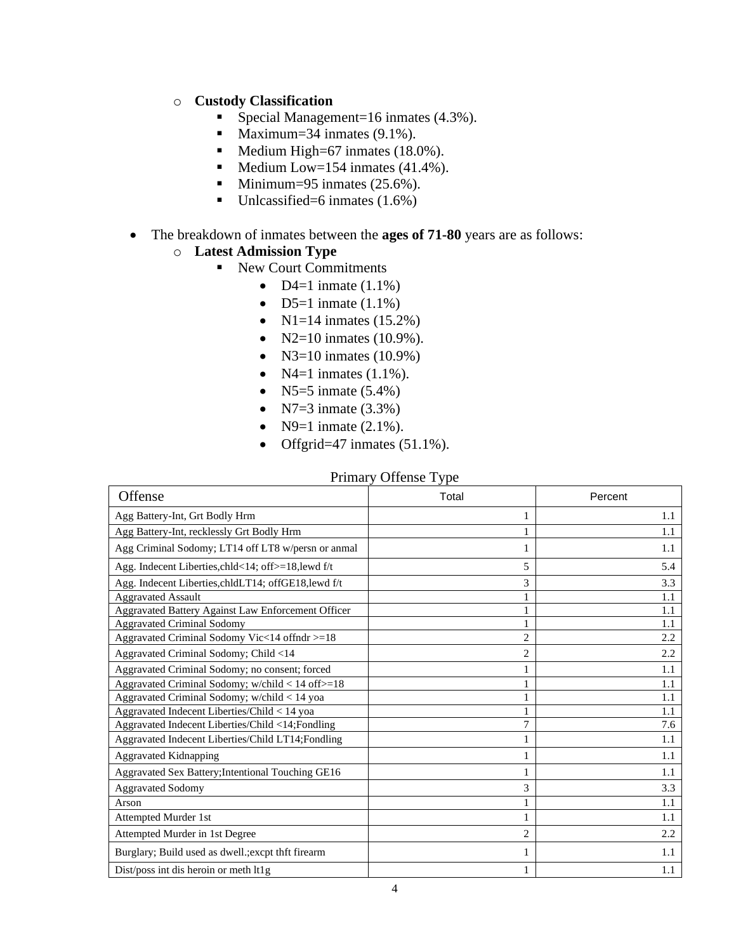### o **Custody Classification**

- Special Management=16 inmates (4.3%).
- **•** Maximum=34 inmates  $(9.1\%)$ .
- Medium High=67 inmates (18.0%).
- $\blacksquare$  Medium Low=154 inmates (41.4%).
- **•** Minimum=95 inmates  $(25.6\%)$ .
- $\blacksquare$  Unlcassified=6 inmates (1.6%)

#### • The breakdown of inmates between the **ages of 71-80** years are as follows:

## o **Latest Admission Type**

- New Court Commitments
	- D4=1 inmate  $(1.1\%)$
	- D5=1 inmate  $(1.1\%)$
	- $N1=14$  inmates (15.2%)
	- N2=10 inmates  $(10.9\%)$ .
	- N3=10 inmates  $(10.9\%)$
	- $N4=1$  inmates  $(1.1\%)$ .
	- N5=5 inmate  $(5.4\%)$
	- N7=3 inmate  $(3.3%)$
	- N9=1 inmate  $(2.1\%)$ .
	- Offgrid=47 inmates  $(51.1\%)$ .

#### Primary Offense Type

| Offense                                              | Total          | Percent |
|------------------------------------------------------|----------------|---------|
| Agg Battery-Int, Grt Bodly Hrm                       | 1              | 1.1     |
| Agg Battery-Int, recklessly Grt Bodly Hrm            |                | 1.1     |
| Agg Criminal Sodomy; LT14 off LT8 w/persn or anmal   | 1              | 1.1     |
| Agg. Indecent Liberties, chld<14; off>=18, lewd f/t  | 5              | 5.4     |
| Agg. Indecent Liberties, chldLT14; offGE18, lewd f/t | 3              | 3.3     |
| <b>Aggravated Assault</b>                            |                | 1.1     |
| Aggravated Battery Against Law Enforcement Officer   | 1              | 1.1     |
| <b>Aggravated Criminal Sodomy</b>                    |                | 1.1     |
| Aggravated Criminal Sodomy Vic<14 offndr >=18        | $\overline{2}$ | 2.2     |
| Aggravated Criminal Sodomy; Child <14                | $\overline{c}$ | 2.2     |
| Aggravated Criminal Sodomy; no consent; forced       |                | 1.1     |
| Aggravated Criminal Sodomy; w/child < 14 off>=18     | 1              | 1.1     |
| Aggravated Criminal Sodomy; w/child < 14 yoa         |                | 1.1     |
| Aggravated Indecent Liberties/Child < 14 yoa         |                | 1.1     |
| Aggravated Indecent Liberties/Child <14;Fondling     | 7              | 7.6     |
| Aggravated Indecent Liberties/Child LT14; Fondling   | 1              | 1.1     |
| <b>Aggravated Kidnapping</b>                         | 1              | 1.1     |
| Aggravated Sex Battery; Intentional Touching GE16    | 1              | 1.1     |
| <b>Aggravated Sodomy</b>                             | 3              | 3.3     |
| Arson                                                | 1              | 1.1     |
| Attempted Murder 1st                                 |                | 1.1     |
| Attempted Murder in 1st Degree                       | 2              | 2.2     |
| Burglary; Build used as dwell.; excpt thft firearm   | 1              | 1.1     |
| Dist/poss int dis heroin or meth lt1g                |                | 1.1     |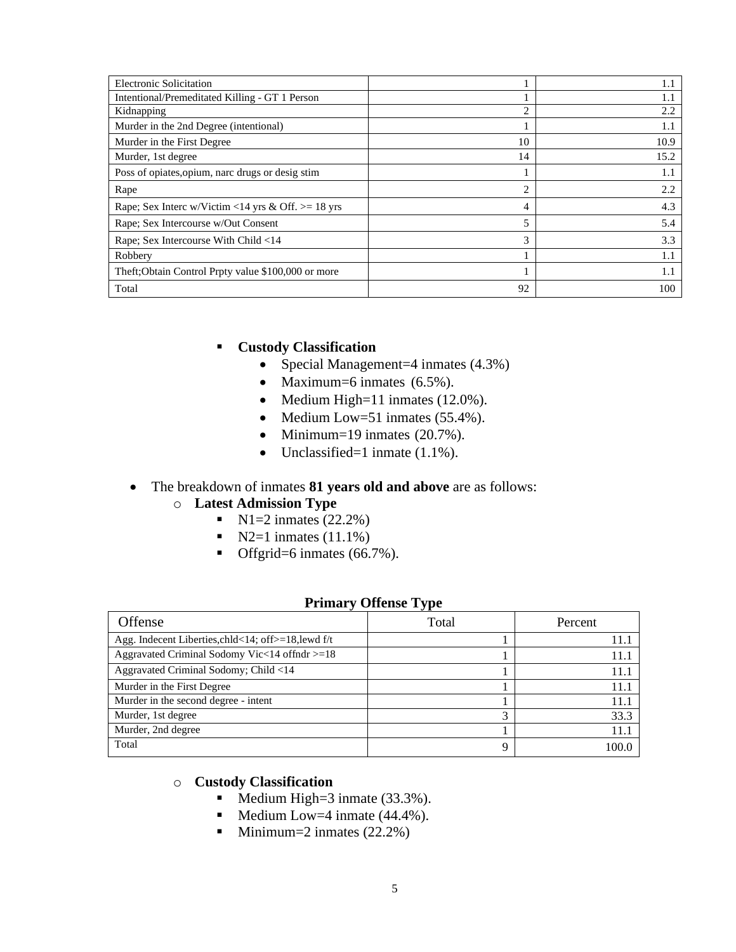| <b>Electronic Solicitation</b>                       |    | 1.1  |
|------------------------------------------------------|----|------|
| Intentional/Premeditated Killing - GT 1 Person       |    | 1.1  |
| Kidnapping                                           | 2  | 2.2  |
| Murder in the 2nd Degree (intentional)               |    | 1.1  |
| Murder in the First Degree                           | 10 | 10.9 |
| Murder, 1st degree                                   | 14 | 15.2 |
| Poss of opiates, opium, narc drugs or desig stim     |    | 1.1  |
| Rape                                                 | 2  | 2.2  |
| Rape; Sex Interc w/Victim <14 yrs & Off. $>= 18$ yrs | 4  | 4.3  |
| Rape; Sex Intercourse w/Out Consent                  | 5  | 5.4  |
| Rape; Sex Intercourse With Child <14                 | 3  | 3.3  |
| Robbery                                              |    | 1.1  |
| Theft; Obtain Control Prpty value \$100,000 or more  |    | 1.1  |
| Total                                                | 92 | 100  |

## ▪ **Custody Classification**

- Special Management=4 inmates  $(4.3\%)$
- Maximum=6 inmates (6.5%).
- Medium High=11 inmates (12.0%).
- Medium Low=51 inmates (55.4%).
- Minimum=19 inmates  $(20.7\%)$ .
- Unclassified=1 inmate (1.1%).

#### • The breakdown of inmates **81 years old and above** are as follows:

#### o **Latest Admission Type**

- $N1=2$  inmates (22.2%)
- $\blacksquare$  N2=1 inmates (11.1%)
- Offgrid=6 inmates (66.7%).

#### **Primary Offense Type**

| Offense                                             | Total | Percent |
|-----------------------------------------------------|-------|---------|
| Agg. Indecent Liberties, chld<14; off>=18, lewd f/t |       | 11.     |
| Aggravated Criminal Sodomy Vic<14 of fndr >=18      |       | 11.     |
| Aggravated Criminal Sodomy; Child <14               |       | 11.     |
| Murder in the First Degree                          |       | 11.     |
| Murder in the second degree - intent                |       | 11.     |
| Murder, 1st degree                                  |       | 33.3    |
| Murder, 2nd degree                                  |       | 11.     |
| Total                                               | 9     | 100 I   |

## o **Custody Classification**

- Medium High=3 inmate (33.3%).
- Medium Low=4 inmate  $(44.4\%)$ .
- Minimum=2 inmates  $(22.2\%)$